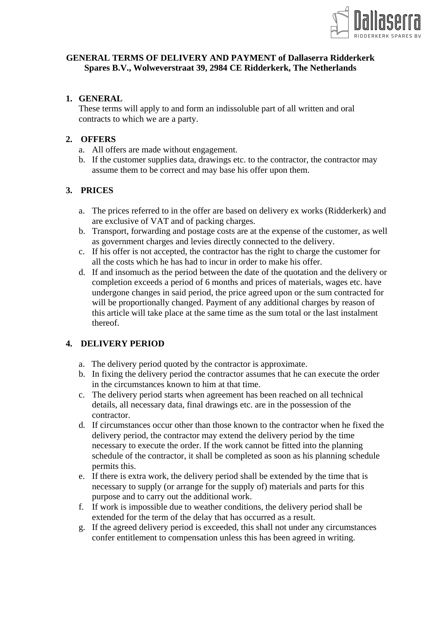

### **GENERAL TERMS OF DELIVERY AND PAYMENT of Dallaserra Ridderkerk Spares B.V., Wolweverstraat 39, 2984 CE Ridderkerk, The Netherlands**

### **1. GENERAL**

These terms will apply to and form an indissoluble part of all written and oral contracts to which we are a party.

#### **2. OFFERS**

- a. All offers are made without engagement.
- b. If the customer supplies data, drawings etc. to the contractor, the contractor may assume them to be correct and may base his offer upon them.

## **3. PRICES**

- a. The prices referred to in the offer are based on delivery ex works (Ridderkerk) and are exclusive of VAT and of packing charges.
- b. Transport, forwarding and postage costs are at the expense of the customer, as well as government charges and levies directly connected to the delivery.
- c. If his offer is not accepted, the contractor has the right to charge the customer for all the costs which he has had to incur in order to make his offer.
- d. If and insomuch as the period between the date of the quotation and the delivery or completion exceeds a period of 6 months and prices of materials, wages etc. have undergone changes in said period, the price agreed upon or the sum contracted for will be proportionally changed. Payment of any additional charges by reason of this article will take place at the same time as the sum total or the last instalment thereof.

### **4. DELIVERY PERIOD**

- a. The delivery period quoted by the contractor is approximate.
- b. In fixing the delivery period the contractor assumes that he can execute the order in the circumstances known to him at that time.
- c. The delivery period starts when agreement has been reached on all technical details, all necessary data, final drawings etc. are in the possession of the contractor.
- d. If circumstances occur other than those known to the contractor when he fixed the delivery period, the contractor may extend the delivery period by the time necessary to execute the order. If the work cannot be fitted into the planning schedule of the contractor, it shall be completed as soon as his planning schedule permits this.
- e. If there is extra work, the delivery period shall be extended by the time that is necessary to supply (or arrange for the supply of) materials and parts for this purpose and to carry out the additional work.
- f. If work is impossible due to weather conditions, the delivery period shall be extended for the term of the delay that has occurred as a result.
- g. If the agreed delivery period is exceeded, this shall not under any circumstances confer entitlement to compensation unless this has been agreed in writing.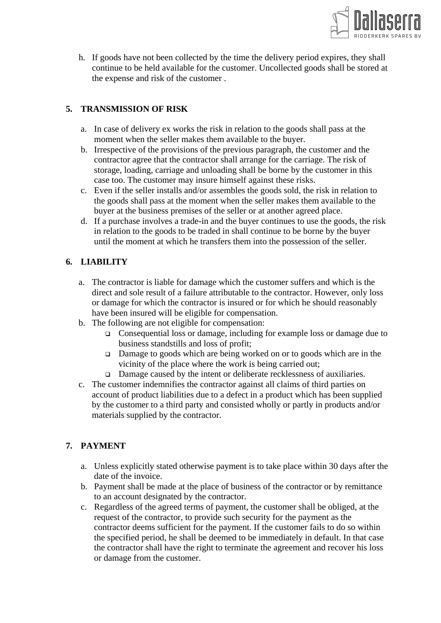

h. If goods have not been collected by the time the delivery period expires, they shall continue to be held available for the customer. Uncollected goods shall be stored at the expense and risk of the customer .

# **5. TRANSMISSION OF RISK**

- a. In case of delivery ex works the risk in relation to the goods shall pass at the moment when the seller makes them available to the buyer.
- b. Irrespective of the provisions of the previous paragraph, the customer and the contractor agree that the contractor shall arrange for the carriage. The risk of storage, loading, carriage and unloading shall be borne by the customer in this case too. The customer may insure himself against these risks.
- c. Even if the seller installs and/or assembles the goods sold, the risk in relation to the goods shall pass at the moment when the seller makes them available to the buyer at the business premises of the seller or at another agreed place.
- d. If a purchase involves a trade-in and the buyer continues to use the goods, the risk in relation to the goods to be traded in shall continue to be borne by the buyer until the moment at which he transfers them into the possession of the seller.

## **6. LIABILITY**

- a. The contractor is liable for damage which the customer suffers and which is the direct and sole result of a failure attributable to the contractor. However, only loss or damage for which the contractor is insured or for which he should reasonably have been insured will be eligible for compensation.
- b. The following are not eligible for compensation:
	- Consequential loss or damage, including for example loss or damage due to business standstills and loss of profit;
	- □ Damage to goods which are being worked on or to goods which are in the vicinity of the place where the work is being carried out;
	- Damage caused by the intent or deliberate recklessness of auxiliaries.
- c. The customer indemnifies the contractor against all claims of third parties on account of product liabilities due to a defect in a product which has been supplied by the customer to a third party and consisted wholly or partly in products and/or materials supplied by the contractor.

## **7. PAYMENT**

- a. Unless explicitly stated otherwise payment is to take place within 30 days after the date of the invoice.
- b. Payment shall be made at the place of business of the contractor or by remittance to an account designated by the contractor.
- c. Regardless of the agreed terms of payment, the customer shall be obliged, at the request of the contractor, to provide such security for the payment as the contractor deems sufficient for the payment. If the customer fails to do so within the specified period, he shall be deemed to be immediately in default. In that case the contractor shall have the right to terminate the agreement and recover his loss or damage from the customer.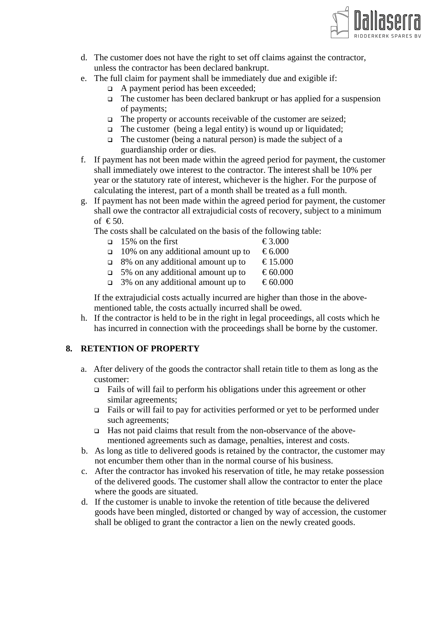

- d. The customer does not have the right to set off claims against the contractor, unless the contractor has been declared bankrupt.
- e. The full claim for payment shall be immediately due and exigible if:
	- $\Box$  A payment period has been exceeded;
	- $\Box$  The customer has been declared bankrupt or has applied for a suspension of payments;
	- $\Box$  The property or accounts receivable of the customer are seized;
	- $\Box$  The customer (being a legal entity) is wound up or liquidated;
	- $\Box$  The customer (being a natural person) is made the subject of a guardianship order or dies.
- f. If payment has not been made within the agreed period for payment, the customer shall immediately owe interest to the contractor. The interest shall be 10% per year or the statutory rate of interest, whichever is the higher. For the purpose of calculating the interest, part of a month shall be treated as a full month.
- g. If payment has not been made within the agreed period for payment, the customer shall owe the contractor all extrajudicial costs of recovery, subject to a minimum of  $\epsilon$  50.
	- The costs shall be calculated on the basis of the following table:
		- $\Box$  15% on the first  $\epsilon$ 3.000
		- $\Box$  10% on any additional amount up to  $\epsilon$ 6.000
		- $\Box$  8% on any additional amount up to  $\epsilon$ 15.000
		- $\Box$  5% on any additional amount up to  $\epsilon$ 60.000
		- $\Box$  3% on any additional amount up to  $\epsilon$  60.000

If the extrajudicial costs actually incurred are higher than those in the abovementioned table, the costs actually incurred shall be owed.

h. If the contractor is held to be in the right in legal proceedings, all costs which he has incurred in connection with the proceedings shall be borne by the customer.

### **8. RETENTION OF PROPERTY**

- a. After delivery of the goods the contractor shall retain title to them as long as the customer:
	- $\Box$  Fails of will fail to perform his obligations under this agreement or other similar agreements;
	- $\Box$  Fails or will fail to pay for activities performed or yet to be performed under such agreements;
	- Has not paid claims that result from the non-observance of the abovementioned agreements such as damage, penalties, interest and costs.
- b. As long as title to delivered goods is retained by the contractor, the customer may not encumber them other than in the normal course of his business.
- c. After the contractor has invoked his reservation of title, he may retake possession of the delivered goods. The customer shall allow the contractor to enter the place where the goods are situated.
- d. If the customer is unable to invoke the retention of title because the delivered goods have been mingled, distorted or changed by way of accession, the customer shall be obliged to grant the contractor a lien on the newly created goods.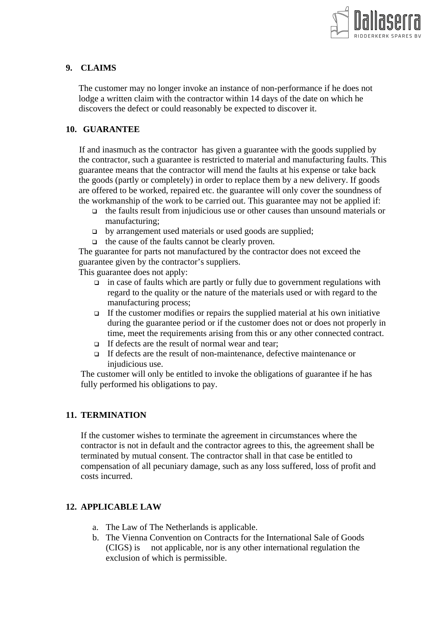

## **9. CLAIMS**

The customer may no longer invoke an instance of non-performance if he does not lodge a written claim with the contractor within 14 days of the date on which he discovers the defect or could reasonably be expected to discover it.

## **10. GUARANTEE**

If and inasmuch as the contractor has given a guarantee with the goods supplied by the contractor, such a guarantee is restricted to material and manufacturing faults. This guarantee means that the contractor will mend the faults at his expense or take back the goods (partly or completely) in order to replace them by a new delivery. If goods are offered to be worked, repaired etc. the guarantee will only cover the soundness of the workmanship of the work to be carried out. This guarantee may not be applied if:

- $\Box$  the faults result from injudicious use or other causes than unsound materials or manufacturing;
- by arrangement used materials or used goods are supplied;
- $\Box$  the cause of the faults cannot be clearly proven.

The guarantee for parts not manufactured by the contractor does not exceed the guarantee given by the contractor's suppliers.

This guarantee does not apply:

- $\Box$  in case of faults which are partly or fully due to government regulations with regard to the quality or the nature of the materials used or with regard to the manufacturing process;
- $\Box$  If the customer modifies or repairs the supplied material at his own initiative during the guarantee period or if the customer does not or does not properly in time, meet the requirements arising from this or any other connected contract.
- $\Box$  If defects are the result of normal wear and tear;
- If defects are the result of non-maintenance, defective maintenance or injudicious use.

The customer will only be entitled to invoke the obligations of guarantee if he has fully performed his obligations to pay.

### **11. TERMINATION**

If the customer wishes to terminate the agreement in circumstances where the contractor is not in default and the contractor agrees to this, the agreement shall be terminated by mutual consent. The contractor shall in that case be entitled to compensation of all pecuniary damage, such as any loss suffered, loss of profit and costs incurred.

### **12. APPLICABLE LAW**

- a. The Law of The Netherlands is applicable.
- b. The Vienna Convention on Contracts for the International Sale of Goods (CIGS) is not applicable, nor is any other international regulation the exclusion of which is permissible.